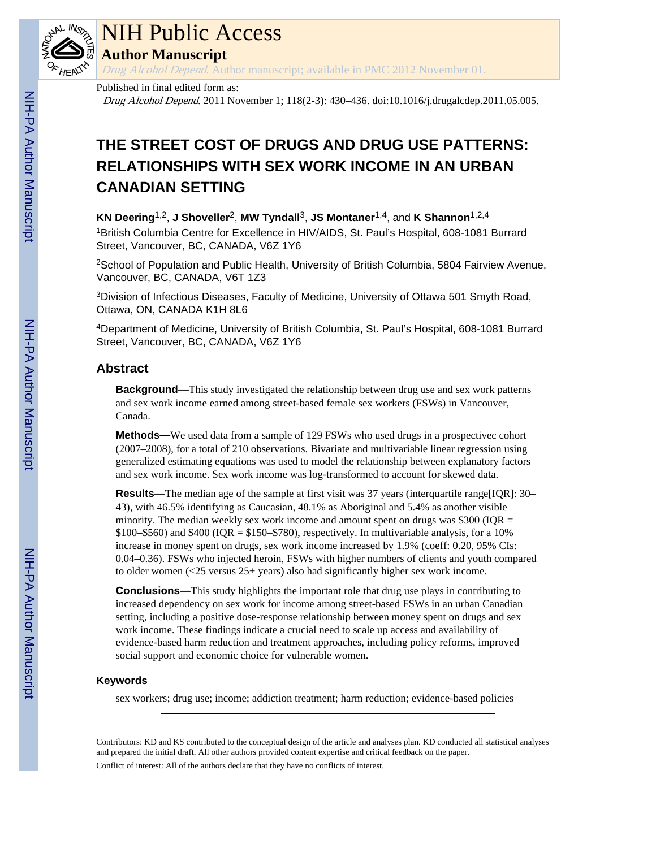

# NIH Public Access

**Author Manuscript**

Drug Alcohol Depend. Author manuscript; available in PMC 2012 November 01.

# Published in final edited form as:

Drug Alcohol Depend. 2011 November 1; 118(2-3): 430–436. doi:10.1016/j.drugalcdep.2011.05.005.

# **THE STREET COST OF DRUGS AND DRUG USE PATTERNS: RELATIONSHIPS WITH SEX WORK INCOME IN AN URBAN CANADIAN SETTING**

**KN Deering**1,2, **J Shoveller**2, **MW Tyndall**3, **JS Montaner**1,4, and **K Shannon**1,2,4 <sup>1</sup>British Columbia Centre for Excellence in HIV/AIDS, St. Paul's Hospital, 608-1081 Burrard Street, Vancouver, BC, CANADA, V6Z 1Y6

<sup>2</sup>School of Population and Public Health, University of British Columbia, 5804 Fairview Avenue, Vancouver, BC, CANADA, V6T 1Z3

<sup>3</sup>Division of Infectious Diseases, Faculty of Medicine, University of Ottawa 501 Smyth Road, Ottawa, ON, CANADA K1H 8L6

<sup>4</sup>Department of Medicine, University of British Columbia, St. Paul's Hospital, 608-1081 Burrard Street, Vancouver, BC, CANADA, V6Z 1Y6

# **Abstract**

**Background—**This study investigated the relationship between drug use and sex work patterns and sex work income earned among street-based female sex workers (FSWs) in Vancouver, Canada.

**Methods—**We used data from a sample of 129 FSWs who used drugs in a prospectivec cohort (2007–2008), for a total of 210 observations. Bivariate and multivariable linear regression using generalized estimating equations was used to model the relationship between explanatory factors and sex work income. Sex work income was log-transformed to account for skewed data.

**Results—**The median age of the sample at first visit was 37 years (interquartile range[IQR]: 30– 43), with 46.5% identifying as Caucasian, 48.1% as Aboriginal and 5.4% as another visible minority. The median weekly sex work income and amount spent on drugs was \$300 (IOR  $=$  $$100–$560$ ) and  $$400$  (IQR =  $$150–$780$ ), respectively. In multivariable analysis, for a 10% increase in money spent on drugs, sex work income increased by 1.9% (coeff: 0.20, 95% CIs: 0.04–0.36). FSWs who injected heroin, FSWs with higher numbers of clients and youth compared to older women (<25 versus 25+ years) also had significantly higher sex work income.

**Conclusions—**This study highlights the important role that drug use plays in contributing to increased dependency on sex work for income among street-based FSWs in an urban Canadian setting, including a positive dose-response relationship between money spent on drugs and sex work income. These findings indicate a crucial need to scale up access and availability of evidence-based harm reduction and treatment approaches, including policy reforms, improved social support and economic choice for vulnerable women.

# **Keywords**

sex workers; drug use; income; addiction treatment; harm reduction; evidence-based policies

Conflict of interest: All of the authors declare that they have no conflicts of interest.

Contributors: KD and KS contributed to the conceptual design of the article and analyses plan. KD conducted all statistical analyses and prepared the initial draft. All other authors provided content expertise and critical feedback on the paper.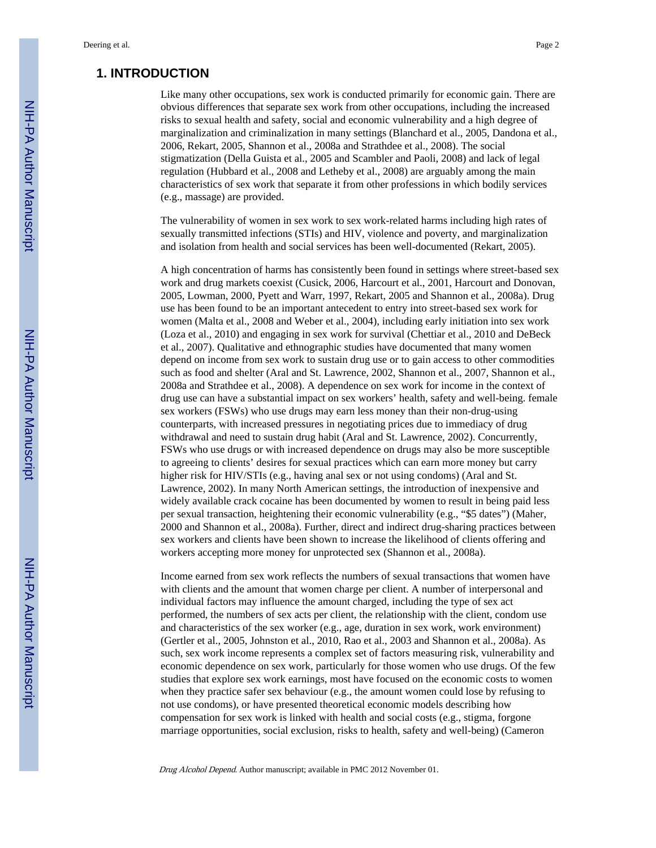# **1. INTRODUCTION**

Like many other occupations, sex work is conducted primarily for economic gain. There are obvious differences that separate sex work from other occupations, including the increased risks to sexual health and safety, social and economic vulnerability and a high degree of marginalization and criminalization in many settings (Blanchard et al., 2005, Dandona et al., 2006, Rekart, 2005, Shannon et al., 2008a and Strathdee et al., 2008). The social stigmatization (Della Guista et al., 2005 and Scambler and Paoli, 2008) and lack of legal regulation (Hubbard et al., 2008 and Letheby et al., 2008) are arguably among the main characteristics of sex work that separate it from other professions in which bodily services (e.g., massage) are provided.

The vulnerability of women in sex work to sex work-related harms including high rates of sexually transmitted infections (STIs) and HIV, violence and poverty, and marginalization and isolation from health and social services has been well-documented (Rekart, 2005).

A high concentration of harms has consistently been found in settings where street-based sex work and drug markets coexist (Cusick, 2006, Harcourt et al., 2001, Harcourt and Donovan, 2005, Lowman, 2000, Pyett and Warr, 1997, Rekart, 2005 and Shannon et al., 2008a). Drug use has been found to be an important antecedent to entry into street-based sex work for women (Malta et al., 2008 and Weber et al., 2004), including early initiation into sex work (Loza et al., 2010) and engaging in sex work for survival (Chettiar et al., 2010 and DeBeck et al., 2007). Qualitative and ethnographic studies have documented that many women depend on income from sex work to sustain drug use or to gain access to other commodities such as food and shelter (Aral and St. Lawrence, 2002, Shannon et al., 2007, Shannon et al., 2008a and Strathdee et al., 2008). A dependence on sex work for income in the context of drug use can have a substantial impact on sex workers' health, safety and well-being. female sex workers (FSWs) who use drugs may earn less money than their non-drug-using counterparts, with increased pressures in negotiating prices due to immediacy of drug withdrawal and need to sustain drug habit (Aral and St. Lawrence, 2002). Concurrently, FSWs who use drugs or with increased dependence on drugs may also be more susceptible to agreeing to clients' desires for sexual practices which can earn more money but carry higher risk for HIV/STIs (e.g., having anal sex or not using condoms) (Aral and St. Lawrence, 2002). In many North American settings, the introduction of inexpensive and widely available crack cocaine has been documented by women to result in being paid less per sexual transaction, heightening their economic vulnerability (e.g., "\$5 dates") (Maher, 2000 and Shannon et al., 2008a). Further, direct and indirect drug-sharing practices between sex workers and clients have been shown to increase the likelihood of clients offering and workers accepting more money for unprotected sex (Shannon et al., 2008a).

Income earned from sex work reflects the numbers of sexual transactions that women have with clients and the amount that women charge per client. A number of interpersonal and individual factors may influence the amount charged, including the type of sex act performed, the numbers of sex acts per client, the relationship with the client, condom use and characteristics of the sex worker (e.g., age, duration in sex work, work environment) (Gertler et al., 2005, Johnston et al., 2010, Rao et al., 2003 and Shannon et al., 2008a). As such, sex work income represents a complex set of factors measuring risk, vulnerability and economic dependence on sex work, particularly for those women who use drugs. Of the few studies that explore sex work earnings, most have focused on the economic costs to women when they practice safer sex behaviour (e.g., the amount women could lose by refusing to not use condoms), or have presented theoretical economic models describing how compensation for sex work is linked with health and social costs (e.g., stigma, forgone marriage opportunities, social exclusion, risks to health, safety and well-being) (Cameron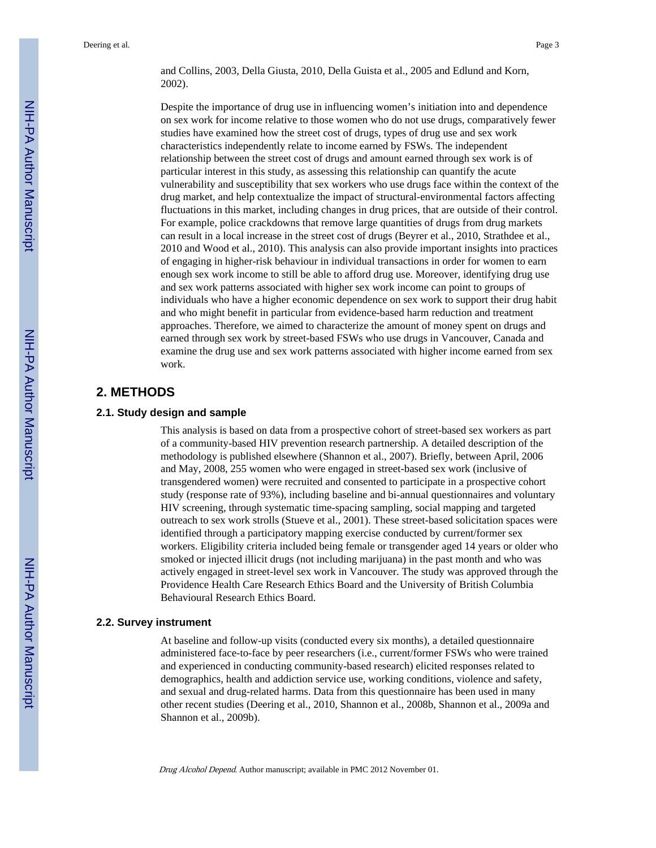and Collins, 2003, Della Giusta, 2010, Della Guista et al., 2005 and Edlund and Korn, 2002).

Despite the importance of drug use in influencing women's initiation into and dependence on sex work for income relative to those women who do not use drugs, comparatively fewer studies have examined how the street cost of drugs, types of drug use and sex work characteristics independently relate to income earned by FSWs. The independent relationship between the street cost of drugs and amount earned through sex work is of particular interest in this study, as assessing this relationship can quantify the acute vulnerability and susceptibility that sex workers who use drugs face within the context of the drug market, and help contextualize the impact of structural-environmental factors affecting fluctuations in this market, including changes in drug prices, that are outside of their control. For example, police crackdowns that remove large quantities of drugs from drug markets can result in a local increase in the street cost of drugs (Beyrer et al., 2010, Strathdee et al., 2010 and Wood et al., 2010). This analysis can also provide important insights into practices of engaging in higher-risk behaviour in individual transactions in order for women to earn enough sex work income to still be able to afford drug use. Moreover, identifying drug use and sex work patterns associated with higher sex work income can point to groups of individuals who have a higher economic dependence on sex work to support their drug habit and who might benefit in particular from evidence-based harm reduction and treatment approaches. Therefore, we aimed to characterize the amount of money spent on drugs and earned through sex work by street-based FSWs who use drugs in Vancouver, Canada and examine the drug use and sex work patterns associated with higher income earned from sex work.

#### **2. METHODS**

#### **2.1. Study design and sample**

This analysis is based on data from a prospective cohort of street-based sex workers as part of a community-based HIV prevention research partnership. A detailed description of the methodology is published elsewhere (Shannon et al., 2007). Briefly, between April, 2006 and May, 2008, 255 women who were engaged in street-based sex work (inclusive of transgendered women) were recruited and consented to participate in a prospective cohort study (response rate of 93%), including baseline and bi-annual questionnaires and voluntary HIV screening, through systematic time-spacing sampling, social mapping and targeted outreach to sex work strolls (Stueve et al., 2001). These street-based solicitation spaces were identified through a participatory mapping exercise conducted by current/former sex workers. Eligibility criteria included being female or transgender aged 14 years or older who smoked or injected illicit drugs (not including marijuana) in the past month and who was actively engaged in street-level sex work in Vancouver. The study was approved through the Providence Health Care Research Ethics Board and the University of British Columbia Behavioural Research Ethics Board.

#### **2.2. Survey instrument**

At baseline and follow-up visits (conducted every six months), a detailed questionnaire administered face-to-face by peer researchers (i.e., current/former FSWs who were trained and experienced in conducting community-based research) elicited responses related to demographics, health and addiction service use, working conditions, violence and safety, and sexual and drug-related harms. Data from this questionnaire has been used in many other recent studies (Deering et al., 2010, Shannon et al., 2008b, Shannon et al., 2009a and Shannon et al., 2009b).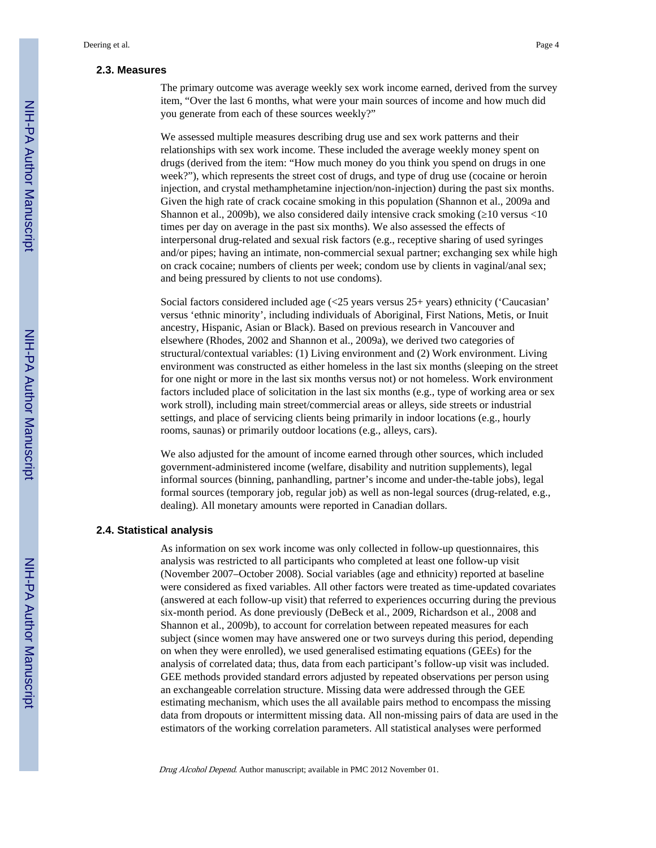#### **2.3. Measures**

The primary outcome was average weekly sex work income earned, derived from the survey item, "Over the last 6 months, what were your main sources of income and how much did you generate from each of these sources weekly?"

We assessed multiple measures describing drug use and sex work patterns and their relationships with sex work income. These included the average weekly money spent on drugs (derived from the item: "How much money do you think you spend on drugs in one week?"), which represents the street cost of drugs, and type of drug use (cocaine or heroin injection, and crystal methamphetamine injection/non-injection) during the past six months. Given the high rate of crack cocaine smoking in this population (Shannon et al., 2009a and Shannon et al., 2009b), we also considered daily intensive crack smoking  $(10 \text{ versus } < 10$ times per day on average in the past six months). We also assessed the effects of interpersonal drug-related and sexual risk factors (e.g., receptive sharing of used syringes and/or pipes; having an intimate, non-commercial sexual partner; exchanging sex while high on crack cocaine; numbers of clients per week; condom use by clients in vaginal/anal sex; and being pressured by clients to not use condoms).

Social factors considered included age (<25 years versus 25+ years) ethnicity ('Caucasian' versus 'ethnic minority', including individuals of Aboriginal, First Nations, Metis, or Inuit ancestry, Hispanic, Asian or Black). Based on previous research in Vancouver and elsewhere (Rhodes, 2002 and Shannon et al., 2009a), we derived two categories of structural/contextual variables: (1) Living environment and (2) Work environment. Living environment was constructed as either homeless in the last six months (sleeping on the street for one night or more in the last six months versus not) or not homeless. Work environment factors included place of solicitation in the last six months (e.g., type of working area or sex work stroll), including main street/commercial areas or alleys, side streets or industrial settings, and place of servicing clients being primarily in indoor locations (e.g., hourly rooms, saunas) or primarily outdoor locations (e.g., alleys, cars).

We also adjusted for the amount of income earned through other sources, which included government-administered income (welfare, disability and nutrition supplements), legal informal sources (binning, panhandling, partner's income and under-the-table jobs), legal formal sources (temporary job, regular job) as well as non-legal sources (drug-related, e.g., dealing). All monetary amounts were reported in Canadian dollars.

#### **2.4. Statistical analysis**

As information on sex work income was only collected in follow-up questionnaires, this analysis was restricted to all participants who completed at least one follow-up visit (November 2007–October 2008). Social variables (age and ethnicity) reported at baseline were considered as fixed variables. All other factors were treated as time-updated covariates (answered at each follow-up visit) that referred to experiences occurring during the previous six-month period. As done previously (DeBeck et al., 2009, Richardson et al., 2008 and Shannon et al., 2009b), to account for correlation between repeated measures for each subject (since women may have answered one or two surveys during this period, depending on when they were enrolled), we used generalised estimating equations (GEEs) for the analysis of correlated data; thus, data from each participant's follow-up visit was included. GEE methods provided standard errors adjusted by repeated observations per person using an exchangeable correlation structure. Missing data were addressed through the GEE estimating mechanism, which uses the all available pairs method to encompass the missing data from dropouts or intermittent missing data. All non-missing pairs of data are used in the estimators of the working correlation parameters. All statistical analyses were performed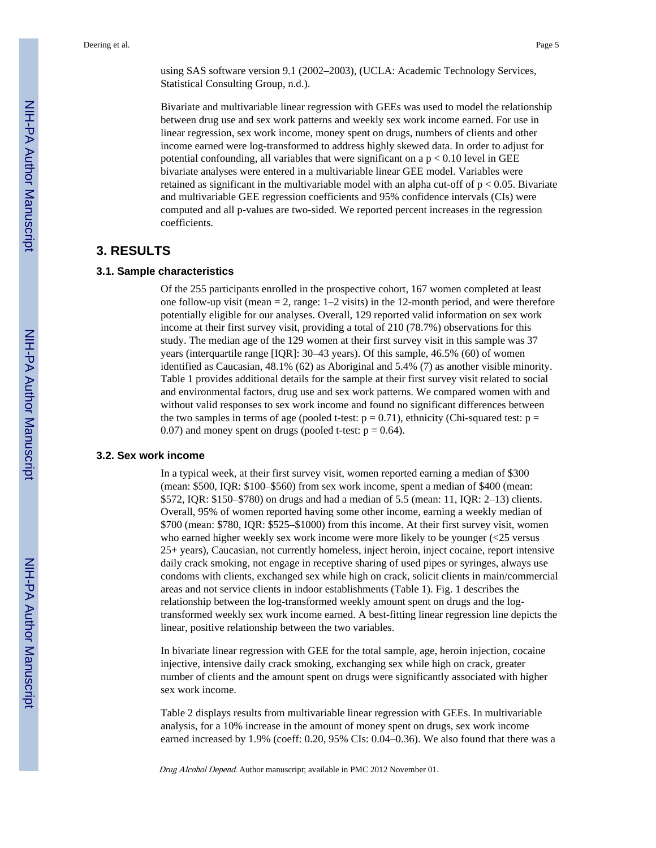using SAS software version 9.1 (2002–2003), (UCLA: Academic Technology Services, Statistical Consulting Group, n.d.).

Bivariate and multivariable linear regression with GEEs was used to model the relationship between drug use and sex work patterns and weekly sex work income earned. For use in linear regression, sex work income, money spent on drugs, numbers of clients and other income earned were log-transformed to address highly skewed data. In order to adjust for potential confounding, all variables that were significant on a  $p < 0.10$  level in GEE bivariate analyses were entered in a multivariable linear GEE model. Variables were retained as significant in the multivariable model with an alpha cut-off of  $p < 0.05$ . Bivariate and multivariable GEE regression coefficients and 95% confidence intervals (CIs) were computed and all p-values are two-sided. We reported percent increases in the regression coefficients.

#### **3. RESULTS**

#### **3.1. Sample characteristics**

Of the 255 participants enrolled in the prospective cohort, 167 women completed at least one follow-up visit (mean  $= 2$ , range:  $1-2$  visits) in the 12-month period, and were therefore potentially eligible for our analyses. Overall, 129 reported valid information on sex work income at their first survey visit, providing a total of 210 (78.7%) observations for this study. The median age of the 129 women at their first survey visit in this sample was 37 years (interquartile range [IQR]: 30–43 years). Of this sample, 46.5% (60) of women identified as Caucasian, 48.1% (62) as Aboriginal and 5.4% (7) as another visible minority. Table 1 provides additional details for the sample at their first survey visit related to social and environmental factors, drug use and sex work patterns. We compared women with and without valid responses to sex work income and found no significant differences between the two samples in terms of age (pooled t-test:  $p = 0.71$ ), ethnicity (Chi-squared test:  $p =$ 0.07) and money spent on drugs (pooled t-test:  $p = 0.64$ ).

#### **3.2. Sex work income**

In a typical week, at their first survey visit, women reported earning a median of \$300 (mean: \$500, IQR: \$100–\$560) from sex work income, spent a median of \$400 (mean: \$572, IQR: \$150–\$780) on drugs and had a median of 5.5 (mean: 11, IQR: 2–13) clients. Overall, 95% of women reported having some other income, earning a weekly median of \$700 (mean: \$780, IQR: \$525–\$1000) from this income. At their first survey visit, women who earned higher weekly sex work income were more likely to be younger (<25 versus 25+ years), Caucasian, not currently homeless, inject heroin, inject cocaine, report intensive daily crack smoking, not engage in receptive sharing of used pipes or syringes, always use condoms with clients, exchanged sex while high on crack, solicit clients in main/commercial areas and not service clients in indoor establishments (Table 1). Fig. 1 describes the relationship between the log-transformed weekly amount spent on drugs and the logtransformed weekly sex work income earned. A best-fitting linear regression line depicts the linear, positive relationship between the two variables.

In bivariate linear regression with GEE for the total sample, age, heroin injection, cocaine injective, intensive daily crack smoking, exchanging sex while high on crack, greater number of clients and the amount spent on drugs were significantly associated with higher sex work income.

Table 2 displays results from multivariable linear regression with GEEs. In multivariable analysis, for a 10% increase in the amount of money spent on drugs, sex work income earned increased by 1.9% (coeff: 0.20, 95% CIs: 0.04–0.36). We also found that there was a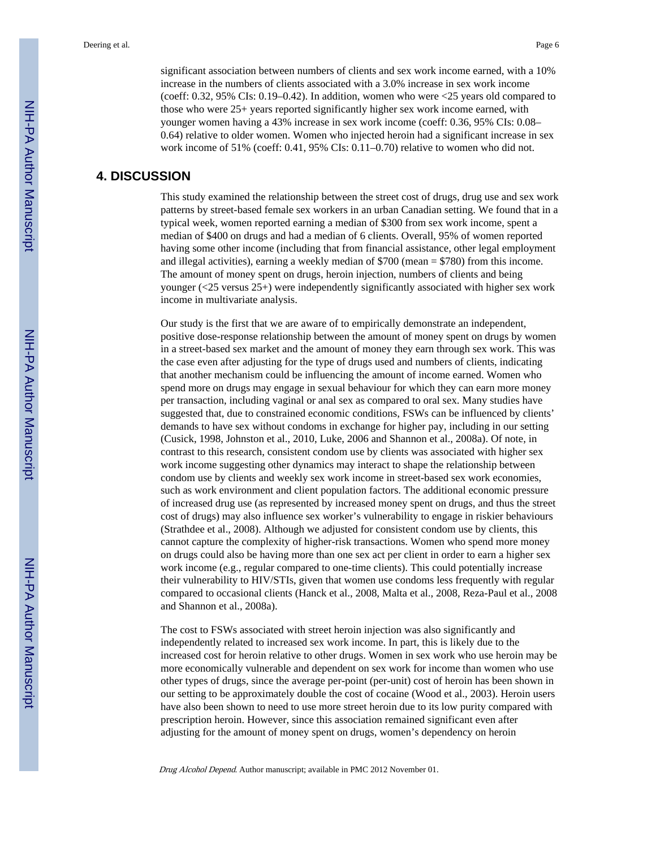significant association between numbers of clients and sex work income earned, with a 10% increase in the numbers of clients associated with a 3.0% increase in sex work income (coeff: 0.32, 95% CIs: 0.19–0.42). In addition, women who were <25 years old compared to those who were 25+ years reported significantly higher sex work income earned, with younger women having a 43% increase in sex work income (coeff: 0.36, 95% CIs: 0.08– 0.64) relative to older women. Women who injected heroin had a significant increase in sex work income of 51% (coeff: 0.41, 95% CIs: 0.11–0.70) relative to women who did not.

# **4. DISCUSSION**

This study examined the relationship between the street cost of drugs, drug use and sex work patterns by street-based female sex workers in an urban Canadian setting. We found that in a typical week, women reported earning a median of \$300 from sex work income, spent a median of \$400 on drugs and had a median of 6 clients. Overall, 95% of women reported having some other income (including that from financial assistance, other legal employment and illegal activities), earning a weekly median of \$700 (mean = \$780) from this income. The amount of money spent on drugs, heroin injection, numbers of clients and being younger (<25 versus 25+) were independently significantly associated with higher sex work income in multivariate analysis.

Our study is the first that we are aware of to empirically demonstrate an independent, positive dose-response relationship between the amount of money spent on drugs by women in a street-based sex market and the amount of money they earn through sex work. This was the case even after adjusting for the type of drugs used and numbers of clients, indicating that another mechanism could be influencing the amount of income earned. Women who spend more on drugs may engage in sexual behaviour for which they can earn more money per transaction, including vaginal or anal sex as compared to oral sex. Many studies have suggested that, due to constrained economic conditions, FSWs can be influenced by clients' demands to have sex without condoms in exchange for higher pay, including in our setting (Cusick, 1998, Johnston et al., 2010, Luke, 2006 and Shannon et al., 2008a). Of note, in contrast to this research, consistent condom use by clients was associated with higher sex work income suggesting other dynamics may interact to shape the relationship between condom use by clients and weekly sex work income in street-based sex work economies, such as work environment and client population factors. The additional economic pressure of increased drug use (as represented by increased money spent on drugs, and thus the street cost of drugs) may also influence sex worker's vulnerability to engage in riskier behaviours (Strathdee et al., 2008). Although we adjusted for consistent condom use by clients, this cannot capture the complexity of higher-risk transactions. Women who spend more money on drugs could also be having more than one sex act per client in order to earn a higher sex work income (e.g., regular compared to one-time clients). This could potentially increase their vulnerability to HIV/STIs, given that women use condoms less frequently with regular compared to occasional clients (Hanck et al., 2008, Malta et al., 2008, Reza-Paul et al., 2008 and Shannon et al., 2008a).

The cost to FSWs associated with street heroin injection was also significantly and independently related to increased sex work income. In part, this is likely due to the increased cost for heroin relative to other drugs. Women in sex work who use heroin may be more economically vulnerable and dependent on sex work for income than women who use other types of drugs, since the average per-point (per-unit) cost of heroin has been shown in our setting to be approximately double the cost of cocaine (Wood et al., 2003). Heroin users have also been shown to need to use more street heroin due to its low purity compared with prescription heroin. However, since this association remained significant even after adjusting for the amount of money spent on drugs, women's dependency on heroin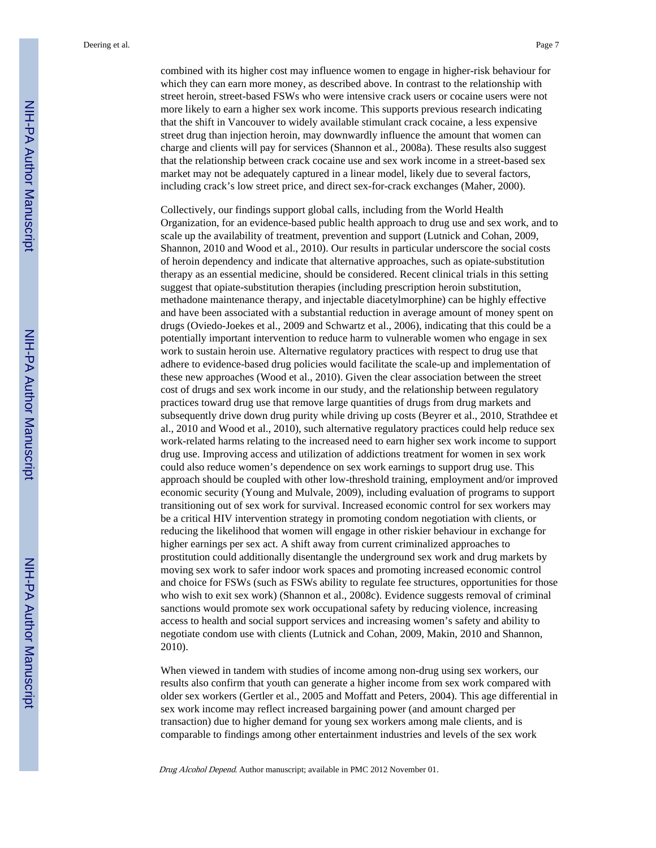Deering et al. Page 7

combined with its higher cost may influence women to engage in higher-risk behaviour for which they can earn more money, as described above. In contrast to the relationship with street heroin, street-based FSWs who were intensive crack users or cocaine users were not more likely to earn a higher sex work income. This supports previous research indicating that the shift in Vancouver to widely available stimulant crack cocaine, a less expensive street drug than injection heroin, may downwardly influence the amount that women can charge and clients will pay for services (Shannon et al., 2008a). These results also suggest that the relationship between crack cocaine use and sex work income in a street-based sex market may not be adequately captured in a linear model, likely due to several factors, including crack's low street price, and direct sex-for-crack exchanges (Maher, 2000).

Collectively, our findings support global calls, including from the World Health Organization, for an evidence-based public health approach to drug use and sex work, and to scale up the availability of treatment, prevention and support (Lutnick and Cohan, 2009, Shannon, 2010 and Wood et al., 2010). Our results in particular underscore the social costs of heroin dependency and indicate that alternative approaches, such as opiate-substitution therapy as an essential medicine, should be considered. Recent clinical trials in this setting suggest that opiate-substitution therapies (including prescription heroin substitution, methadone maintenance therapy, and injectable diacetylmorphine) can be highly effective and have been associated with a substantial reduction in average amount of money spent on drugs (Oviedo-Joekes et al., 2009 and Schwartz et al., 2006), indicating that this could be a potentially important intervention to reduce harm to vulnerable women who engage in sex work to sustain heroin use. Alternative regulatory practices with respect to drug use that adhere to evidence-based drug policies would facilitate the scale-up and implementation of these new approaches (Wood et al., 2010). Given the clear association between the street cost of drugs and sex work income in our study, and the relationship between regulatory practices toward drug use that remove large quantities of drugs from drug markets and subsequently drive down drug purity while driving up costs (Beyrer et al., 2010, Strathdee et al., 2010 and Wood et al., 2010), such alternative regulatory practices could help reduce sex work-related harms relating to the increased need to earn higher sex work income to support drug use. Improving access and utilization of addictions treatment for women in sex work could also reduce women's dependence on sex work earnings to support drug use. This approach should be coupled with other low-threshold training, employment and/or improved economic security (Young and Mulvale, 2009), including evaluation of programs to support transitioning out of sex work for survival. Increased economic control for sex workers may be a critical HIV intervention strategy in promoting condom negotiation with clients, or reducing the likelihood that women will engage in other riskier behaviour in exchange for higher earnings per sex act. A shift away from current criminalized approaches to prostitution could additionally disentangle the underground sex work and drug markets by moving sex work to safer indoor work spaces and promoting increased economic control and choice for FSWs (such as FSWs ability to regulate fee structures, opportunities for those who wish to exit sex work) (Shannon et al., 2008c). Evidence suggests removal of criminal sanctions would promote sex work occupational safety by reducing violence, increasing access to health and social support services and increasing women's safety and ability to negotiate condom use with clients (Lutnick and Cohan, 2009, Makin, 2010 and Shannon, 2010).

When viewed in tandem with studies of income among non-drug using sex workers, our results also confirm that youth can generate a higher income from sex work compared with older sex workers (Gertler et al., 2005 and Moffatt and Peters, 2004). This age differential in sex work income may reflect increased bargaining power (and amount charged per transaction) due to higher demand for young sex workers among male clients, and is comparable to findings among other entertainment industries and levels of the sex work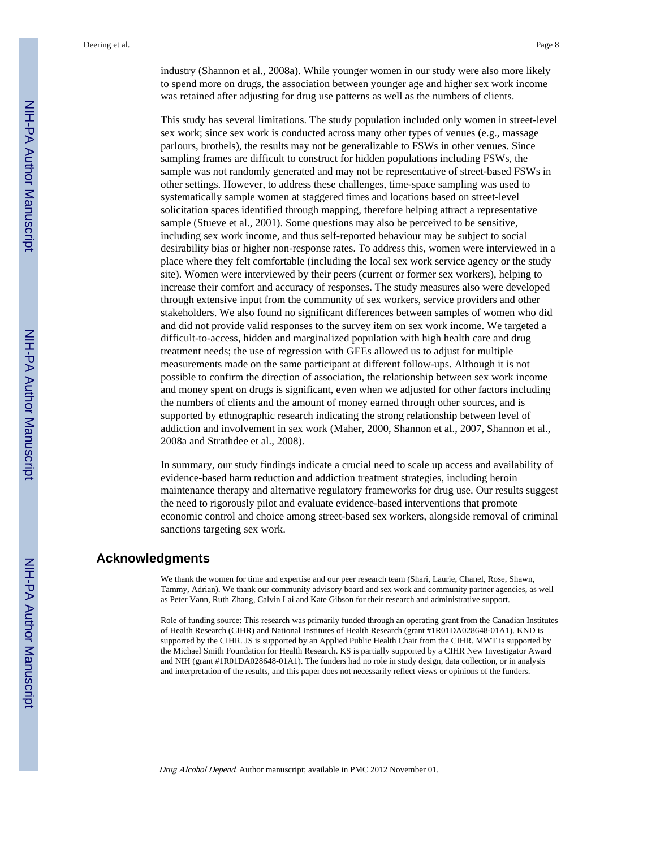industry (Shannon et al., 2008a). While younger women in our study were also more likely to spend more on drugs, the association between younger age and higher sex work income was retained after adjusting for drug use patterns as well as the numbers of clients.

This study has several limitations. The study population included only women in street-level sex work; since sex work is conducted across many other types of venues (e.g., massage parlours, brothels), the results may not be generalizable to FSWs in other venues. Since sampling frames are difficult to construct for hidden populations including FSWs, the sample was not randomly generated and may not be representative of street-based FSWs in other settings. However, to address these challenges, time-space sampling was used to systematically sample women at staggered times and locations based on street-level solicitation spaces identified through mapping, therefore helping attract a representative sample (Stueve et al., 2001). Some questions may also be perceived to be sensitive, including sex work income, and thus self-reported behaviour may be subject to social desirability bias or higher non-response rates. To address this, women were interviewed in a place where they felt comfortable (including the local sex work service agency or the study site). Women were interviewed by their peers (current or former sex workers), helping to increase their comfort and accuracy of responses. The study measures also were developed through extensive input from the community of sex workers, service providers and other stakeholders. We also found no significant differences between samples of women who did and did not provide valid responses to the survey item on sex work income. We targeted a difficult-to-access, hidden and marginalized population with high health care and drug treatment needs; the use of regression with GEEs allowed us to adjust for multiple measurements made on the same participant at different follow-ups. Although it is not possible to confirm the direction of association, the relationship between sex work income and money spent on drugs is significant, even when we adjusted for other factors including the numbers of clients and the amount of money earned through other sources, and is supported by ethnographic research indicating the strong relationship between level of addiction and involvement in sex work (Maher, 2000, Shannon et al., 2007, Shannon et al., 2008a and Strathdee et al., 2008).

In summary, our study findings indicate a crucial need to scale up access and availability of evidence-based harm reduction and addiction treatment strategies, including heroin maintenance therapy and alternative regulatory frameworks for drug use. Our results suggest the need to rigorously pilot and evaluate evidence-based interventions that promote economic control and choice among street-based sex workers, alongside removal of criminal sanctions targeting sex work.

#### **Acknowledgments**

We thank the women for time and expertise and our peer research team (Shari, Laurie, Chanel, Rose, Shawn, Tammy, Adrian). We thank our community advisory board and sex work and community partner agencies, as well as Peter Vann, Ruth Zhang, Calvin Lai and Kate Gibson for their research and administrative support.

Role of funding source: This research was primarily funded through an operating grant from the Canadian Institutes of Health Research (CIHR) and National Institutes of Health Research (grant #1R01DA028648-01A1). KND is supported by the CIHR. JS is supported by an Applied Public Health Chair from the CIHR. MWT is supported by the Michael Smith Foundation for Health Research. KS is partially supported by a CIHR New Investigator Award and NIH (grant #1R01DA028648-01A1). The funders had no role in study design, data collection, or in analysis and interpretation of the results, and this paper does not necessarily reflect views or opinions of the funders.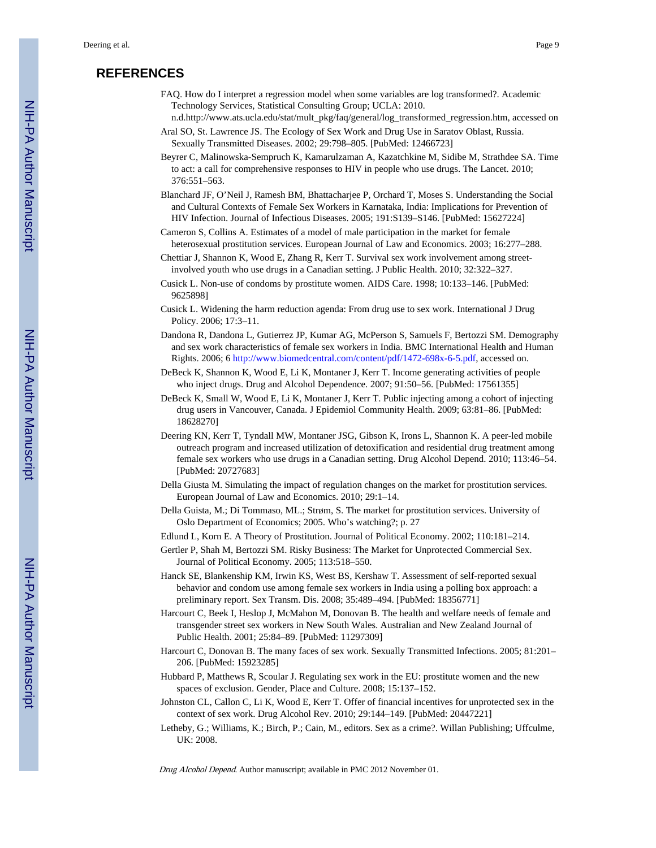# **REFERENCES**

FAQ. How do I interpret a regression model when some variables are log transformed?. Academic Technology Services, Statistical Consulting Group; UCLA: 2010.

Sexually Transmitted Diseases. 2002; 29:798–805. [PubMed: 12466723]

- n.d.[http://www.ats.ucla.edu/stat/mult\\_pkg/faq/general/log\\_transformed\\_regression.htm,](http://www.ats.ucla.edu/stat/mult_pkg/faq/general/log_transformed_regression.htm) accessed on Aral SO, St. Lawrence JS. The Ecology of Sex Work and Drug Use in Saratov Oblast, Russia.
- Beyrer C, Malinowska-Sempruch K, Kamarulzaman A, Kazatchkine M, Sidibe M, Strathdee SA. Time to act: a call for comprehensive responses to HIV in people who use drugs. The Lancet. 2010; 376:551–563.
- Blanchard JF, O'Neil J, Ramesh BM, Bhattacharjee P, Orchard T, Moses S. Understanding the Social and Cultural Contexts of Female Sex Workers in Karnataka, India: Implications for Prevention of HIV Infection. Journal of Infectious Diseases. 2005; 191:S139–S146. [PubMed: 15627224]
- Cameron S, Collins A. Estimates of a model of male participation in the market for female heterosexual prostitution services. European Journal of Law and Economics. 2003; 16:277–288.
- Chettiar J, Shannon K, Wood E, Zhang R, Kerr T. Survival sex work involvement among streetinvolved youth who use drugs in a Canadian setting. J Public Health. 2010; 32:322–327.
- Cusick L. Non-use of condoms by prostitute women. AIDS Care. 1998; 10:133–146. [PubMed: 9625898]
- Cusick L. Widening the harm reduction agenda: From drug use to sex work. International J Drug Policy. 2006; 17:3–11.
- Dandona R, Dandona L, Gutierrez JP, Kumar AG, McPerson S, Samuels F, Bertozzi SM. Demography and sex work characteristics of female sex workers in India. BMC International Health and Human Rights. 2006; 6 <http://www.biomedcentral.com/content/pdf/1472-698x-6-5.pdf>, accessed on.
- DeBeck K, Shannon K, Wood E, Li K, Montaner J, Kerr T. Income generating activities of people who inject drugs. Drug and Alcohol Dependence. 2007; 91:50–56. [PubMed: 17561355]
- DeBeck K, Small W, Wood E, Li K, Montaner J, Kerr T. Public injecting among a cohort of injecting drug users in Vancouver, Canada. J Epidemiol Community Health. 2009; 63:81–86. [PubMed: 18628270]
- Deering KN, Kerr T, Tyndall MW, Montaner JSG, Gibson K, Irons L, Shannon K. A peer-led mobile outreach program and increased utilization of detoxification and residential drug treatment among female sex workers who use drugs in a Canadian setting. Drug Alcohol Depend. 2010; 113:46–54. [PubMed: 20727683]
- Della Giusta M. Simulating the impact of regulation changes on the market for prostitution services. European Journal of Law and Economics. 2010; 29:1–14.
- Della Guista, M.; Di Tommaso, ML.; Strøm, S. The market for prostitution services. University of Oslo Department of Economics; 2005. Who's watching?; p. 27

Edlund L, Korn E. A Theory of Prostitution. Journal of Political Economy. 2002; 110:181–214.

- Gertler P, Shah M, Bertozzi SM. Risky Business: The Market for Unprotected Commercial Sex. Journal of Political Economy. 2005; 113:518–550.
- Hanck SE, Blankenship KM, Irwin KS, West BS, Kershaw T. Assessment of self-reported sexual behavior and condom use among female sex workers in India using a polling box approach: a preliminary report. Sex Transm. Dis. 2008; 35:489–494. [PubMed: 18356771]
- Harcourt C, Beek I, Heslop J, McMahon M, Donovan B. The health and welfare needs of female and transgender street sex workers in New South Wales. Australian and New Zealand Journal of Public Health. 2001; 25:84–89. [PubMed: 11297309]
- Harcourt C, Donovan B. The many faces of sex work. Sexually Transmitted Infections. 2005; 81:201– 206. [PubMed: 15923285]
- Hubbard P, Matthews R, Scoular J. Regulating sex work in the EU: prostitute women and the new spaces of exclusion. Gender, Place and Culture. 2008; 15:137–152.
- Johnston CL, Callon C, Li K, Wood E, Kerr T. Offer of financial incentives for unprotected sex in the context of sex work. Drug Alcohol Rev. 2010; 29:144–149. [PubMed: 20447221]
- Letheby, G.; Williams, K.; Birch, P.; Cain, M., editors. Sex as a crime?. Willan Publishing; Uffculme, UK: 2008.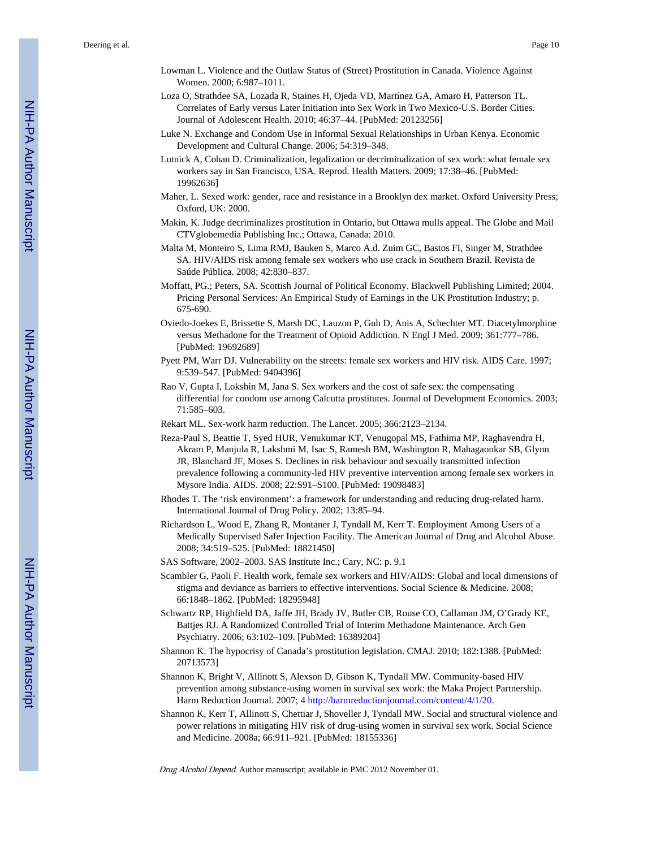- Lowman L. Violence and the Outlaw Status of (Street) Prostitution in Canada. Violence Against Women. 2000; 6:987–1011.
- Loza O, Strathdee SA, Lozada R, Staines H, Ojeda VD, Martínez GA, Amaro H, Patterson TL. Correlates of Early versus Later Initiation into Sex Work in Two Mexico-U.S. Border Cities. Journal of Adolescent Health. 2010; 46:37–44. [PubMed: 20123256]
- Luke N. Exchange and Condom Use in Informal Sexual Relationships in Urban Kenya. Economic Development and Cultural Change. 2006; 54:319–348.
- Lutnick A, Cohan D. Criminalization, legalization or decriminalization of sex work: what female sex workers say in San Francisco, USA. Reprod. Health Matters. 2009; 17:38–46. [PubMed: 19962636]
- Maher, L. Sexed work: gender, race and resistance in a Brooklyn dex market. Oxford University Press; Oxford, UK: 2000.
- Makin, K. Judge decriminalizes prostitution in Ontario, but Ottawa mulls appeal. The Globe and Mail CTVglobemedia Publishing Inc.; Ottawa, Canada: 2010.
- Malta M, Monteiro S, Lima RMJ, Bauken S, Marco A.d. Zuim GC, Bastos FI, Singer M, Strathdee SA. HIV/AIDS risk among female sex workers who use crack in Southern Brazil. Revista de Saúde Pública. 2008; 42:830–837.
- Moffatt, PG.; Peters, SA. Scottish Journal of Political Economy. Blackwell Publishing Limited; 2004. Pricing Personal Services: An Empirical Study of Earnings in the UK Prostitution Industry; p. 675-690.
- Oviedo-Joekes E, Brissette S, Marsh DC, Lauzon P, Guh D, Anis A, Schechter MT. Diacetylmorphine versus Methadone for the Treatment of Opioid Addiction. N Engl J Med. 2009; 361:777–786. [PubMed: 19692689]
- Pyett PM, Warr DJ. Vulnerability on the streets: female sex workers and HIV risk. AIDS Care. 1997; 9:539–547. [PubMed: 9404396]
- Rao V, Gupta I, Lokshin M, Jana S. Sex workers and the cost of safe sex: the compensating differential for condom use among Calcutta prostitutes. Journal of Development Economics. 2003; 71:585–603.
- Rekart ML. Sex-work harm reduction. The Lancet. 2005; 366:2123–2134.
- Reza-Paul S, Beattie T, Syed HUR, Venukumar KT, Venugopal MS, Fathima MP, Raghavendra H, Akram P, Manjula R, Lakshmi M, Isac S, Ramesh BM, Washington R, Mahagaonkar SB, Glynn JR, Blanchard JF, Moses S. Declines in risk behaviour and sexually transmitted infection prevalence following a community-led HIV preventive intervention among female sex workers in Mysore India. AIDS. 2008; 22:S91–S100. [PubMed: 19098483]
- Rhodes T. The 'risk environment': a framework for understanding and reducing drug-related harm. International Journal of Drug Policy. 2002; 13:85–94.
- Richardson L, Wood E, Zhang R, Montaner J, Tyndall M, Kerr T. Employment Among Users of a Medically Supervised Safer Injection Facility. The American Journal of Drug and Alcohol Abuse. 2008; 34:519–525. [PubMed: 18821450]
- SAS Software, 2002–2003. SAS Institute Inc.; Cary, NC: p. 9.1
- Scambler G, Paoli F. Health work, female sex workers and HIV/AIDS: Global and local dimensions of stigma and deviance as barriers to effective interventions. Social Science & Medicine. 2008; 66:1848–1862. [PubMed: 18295948]
- Schwartz RP, Highfield DA, Jaffe JH, Brady JV, Butler CB, Rouse CO, Callaman JM, O'Grady KE, Battjes RJ. A Randomized Controlled Trial of Interim Methadone Maintenance. Arch Gen Psychiatry. 2006; 63:102–109. [PubMed: 16389204]
- Shannon K. The hypocrisy of Canada's prostitution legislation. CMAJ. 2010; 182:1388. [PubMed: 20713573]
- Shannon K, Bright V, Allinott S, Alexson D, Gibson K, Tyndall MW. Community-based HIV prevention among substance-using women in survival sex work: the Maka Project Partnership. Harm Reduction Journal. 2007; 4<http://harmreductionjournal.com/content/4/1/20>.
- Shannon K, Kerr T, Allinott S, Chettiar J, Shoveller J, Tyndall MW. Social and structural violence and power relations in mitigating HIV risk of drug-using women in survival sex work. Social Science and Medicine. 2008a; 66:911–921. [PubMed: 18155336]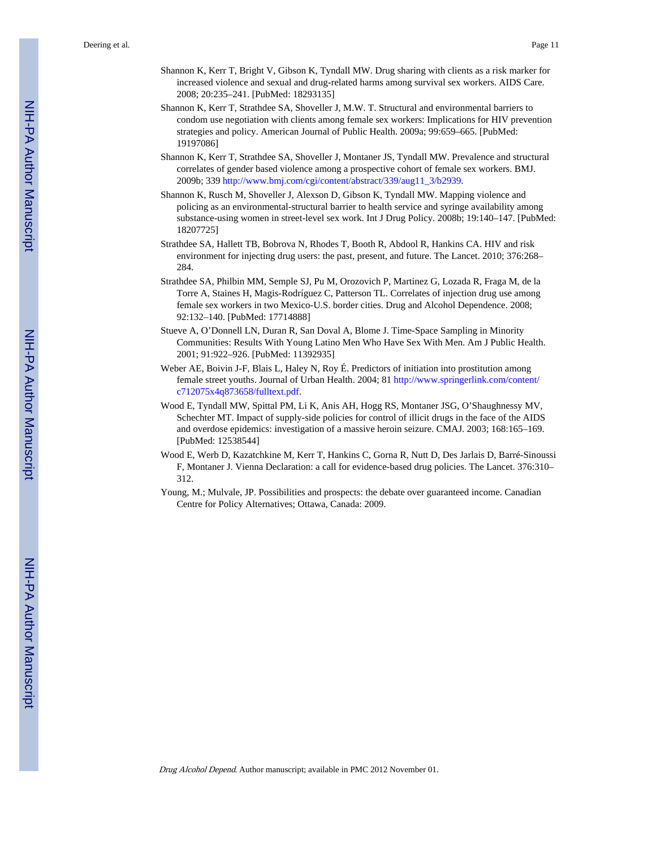- Shannon K, Kerr T, Bright V, Gibson K, Tyndall MW. Drug sharing with clients as a risk marker for increased violence and sexual and drug-related harms among survival sex workers. AIDS Care. 2008; 20:235–241. [PubMed: 18293135]
- Shannon K, Kerr T, Strathdee SA, Shoveller J, M.W. T. Structural and environmental barriers to condom use negotiation with clients among female sex workers: Implications for HIV prevention strategies and policy. American Journal of Public Health. 2009a; 99:659–665. [PubMed: 19197086]
- Shannon K, Kerr T, Strathdee SA, Shoveller J, Montaner JS, Tyndall MW. Prevalence and structural correlates of gender based violence among a prospective cohort of female sex workers. BMJ. 2009b; 339 [http://www.bmj.com/cgi/content/abstract/339/aug11\\_3/b2939](http://www.bmj.com/cgi/content/abstract/339/aug11_3/b2939).
- Shannon K, Rusch M, Shoveller J, Alexson D, Gibson K, Tyndall MW. Mapping violence and policing as an environmental-structural barrier to health service and syringe availability among substance-using women in street-level sex work. Int J Drug Policy. 2008b; 19:140–147. [PubMed: 18207725]
- Strathdee SA, Hallett TB, Bobrova N, Rhodes T, Booth R, Abdool R, Hankins CA. HIV and risk environment for injecting drug users: the past, present, and future. The Lancet. 2010; 376:268– 284.
- Strathdee SA, Philbin MM, Semple SJ, Pu M, Orozovich P, Martinez G, Lozada R, Fraga M, de la Torre A, Staines H, Magis-Rodríguez C, Patterson TL. Correlates of injection drug use among female sex workers in two Mexico-U.S. border cities. Drug and Alcohol Dependence. 2008; 92:132–140. [PubMed: 17714888]
- Stueve A, O'Donnell LN, Duran R, San Doval A, Blome J. Time-Space Sampling in Minority Communities: Results With Young Latino Men Who Have Sex With Men. Am J Public Health. 2001; 91:922–926. [PubMed: 11392935]
- Weber AE, Boivin J-F, Blais L, Haley N, Roy É. Predictors of initiation into prostitution among female street youths. Journal of Urban Health. 2004; 81 [http://www.springerlink.com/content/](http://www.springerlink.com/content/c712075x4q873658/fulltext.pdf) [c712075x4q873658/fulltext.pdf](http://www.springerlink.com/content/c712075x4q873658/fulltext.pdf).
- Wood E, Tyndall MW, Spittal PM, Li K, Anis AH, Hogg RS, Montaner JSG, O'Shaughnessy MV, Schechter MT. Impact of supply-side policies for control of illicit drugs in the face of the AIDS and overdose epidemics: investigation of a massive heroin seizure. CMAJ. 2003; 168:165–169. [PubMed: 12538544]
- Wood E, Werb D, Kazatchkine M, Kerr T, Hankins C, Gorna R, Nutt D, Des Jarlais D, Barré-Sinoussi F, Montaner J. Vienna Declaration: a call for evidence-based drug policies. The Lancet. 376:310– 312.
- Young, M.; Mulvale, JP. Possibilities and prospects: the debate over guaranteed income. Canadian Centre for Policy Alternatives; Ottawa, Canada: 2009.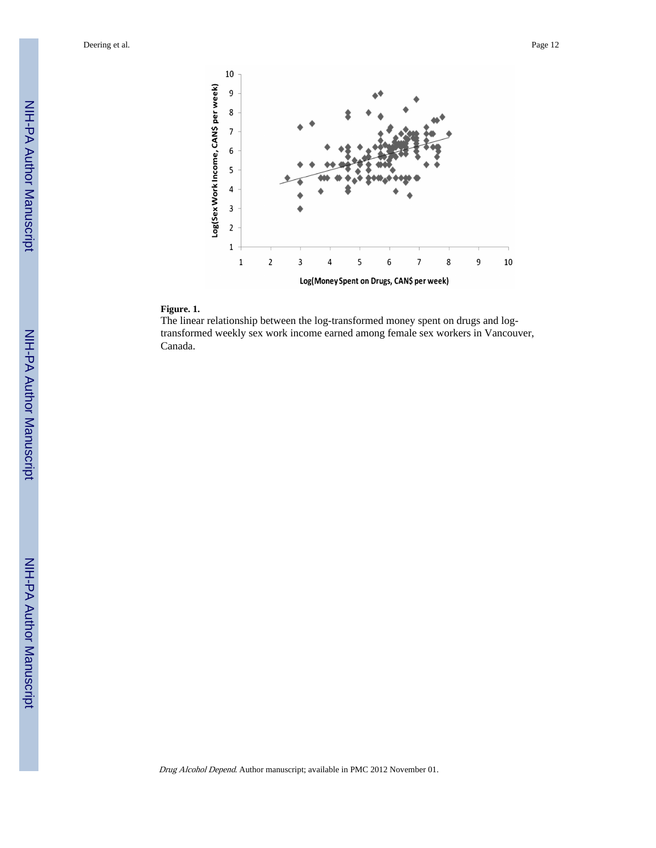Deering et al. Page 12



# **Figure. 1.**

The linear relationship between the log-transformed money spent on drugs and logtransformed weekly sex work income earned among female sex workers in Vancouver, Canada.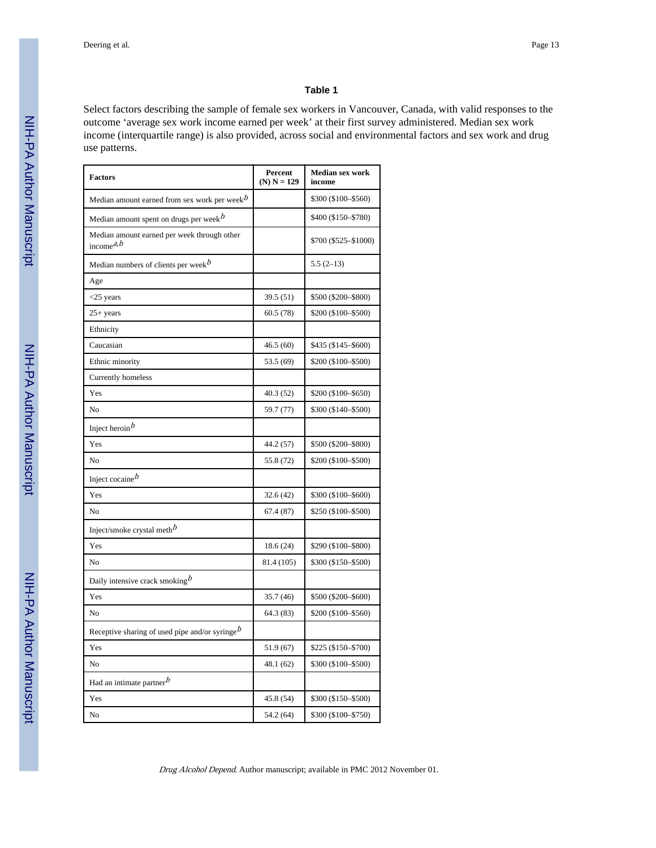#### **Table 1**

Select factors describing the sample of female sex workers in Vancouver, Canada, with valid responses to the outcome 'average sex work income earned per week' at their first survey administered. Median sex work income (interquartile range) is also provided, across social and environmental factors and sex work and drug use patterns.

| <b>Factors</b>                                                                    | Percent<br>$(N) N = 129$ | Median sex work<br>income |  |
|-----------------------------------------------------------------------------------|--------------------------|---------------------------|--|
| Median amount earned from sex work per week $b$                                   |                          | \$300 (\$100-\$560)       |  |
| Median amount spent on drugs per week $b$                                         |                          | \$400 (\$150-\$780)       |  |
| Median amount earned per week through other<br>income <sup><math>a,b</math></sup> |                          | \$700 (\$525-\$1000)      |  |
| Median numbers of clients per week $b$                                            |                          | $5.5(2-13)$               |  |
| Age                                                                               |                          |                           |  |
| $<$ 25 years                                                                      | 39.5 (51)                | \$500 (\$200-\$800)       |  |
| $25+$ years                                                                       | 60.5(78)                 | \$200 (\$100-\$500)       |  |
| Ethnicity                                                                         |                          |                           |  |
| Caucasian                                                                         | 46.5(60)                 | \$435 (\$145-\$600)       |  |
| Ethnic minority                                                                   | 53.5 (69)                | \$200 (\$100-\$500)       |  |
| Currently homeless                                                                |                          |                           |  |
| Yes                                                                               | 40.3 (52)                | \$200 (\$100–\$650)       |  |
| No                                                                                | 59.7 (77)                | \$300 (\$140-\$500)       |  |
| Inject heroin $b$                                                                 |                          |                           |  |
| Yes                                                                               | 44.2 (57)                | \$500 (\$200-\$800)       |  |
| No                                                                                | 55.8 (72)                | \$200 (\$100-\$500)       |  |
| Inject cocaine <sup>b</sup>                                                       |                          |                           |  |
| Yes                                                                               | 32.6(42)                 | \$300 (\$100-\$600)       |  |
| No                                                                                | 67.4(87)                 | \$250 (\$100-\$500)       |  |
| Inject/smoke crystal meth $^b$                                                    |                          |                           |  |
| Yes                                                                               | 18.6 (24)                | \$290 (\$100-\$800)       |  |
| No                                                                                | 81.4 (105)               | \$300 (\$150-\$500)       |  |
| Daily intensive crack smoking $b$                                                 |                          |                           |  |
| Yes                                                                               | 35.7 (46)                | \$500 (\$200-\$600)       |  |
| No                                                                                | 64.3 (83)                | \$200 (\$100-\$560)       |  |
| Receptive sharing of used pipe and/or syringe $^b$                                |                          |                           |  |
| Yes                                                                               | 51.9(67)                 | \$225 (\$150-\$700)       |  |
| No                                                                                | 48.1 (62)                | \$300 (\$100 - \$500)     |  |
| Had an intimate partner $b$                                                       |                          |                           |  |
| Yes                                                                               | 45.8 (54)                | \$300 (\$150-\$500)       |  |
| No                                                                                | 54.2 (64)                | \$300 (\$100-\$750)       |  |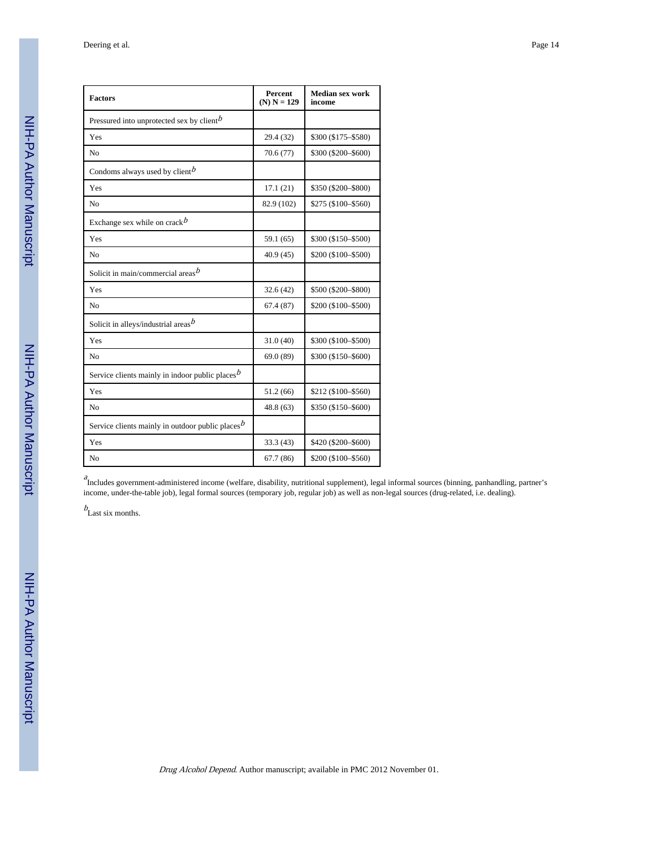| <b>Factors</b>                                                     | Percent<br>$(N) N = 129$ | <b>Median sex work</b><br>income |
|--------------------------------------------------------------------|--------------------------|----------------------------------|
| Pressured into unprotected sex by client <sup><math>b</math></sup> |                          |                                  |
| Yes                                                                | 29.4 (32)                | \$300 (\$175-\$580)              |
| No                                                                 | 70.6 (77)                | \$300 (\$200-\$600)              |
| Condoms always used by client $b$                                  |                          |                                  |
| Yes                                                                | 17.1(21)                 | \$350 (\$200-\$800)              |
| N <sub>o</sub>                                                     | 82.9 (102)               | \$275 (\$100-\$560)              |
| Exchange sex while on crack $b$                                    |                          |                                  |
| Yes                                                                | 59.1 (65)                | \$300 (\$150-\$500)              |
| N <sub>0</sub>                                                     | 40.9(45)                 | \$200 (\$100-\$500)              |
| Solicit in main/commercial areas $b$                               |                          |                                  |
| Yes                                                                | 32.6(42)                 | \$500 (\$200-\$800)              |
| No                                                                 | 67.4(87)                 | \$200 (\$100-\$500)              |
| Solicit in alleys/industrial areas $b$                             |                          |                                  |
| Yes                                                                | 31.0(40)                 | \$300 (\$100-\$500)              |
| No                                                                 | 69.0 (89)                | \$300 (\$150-\$600)              |
| Service clients mainly in indoor public places $b$                 |                          |                                  |
| Yes                                                                | 51.2 (66)                | \$212 (\$100-\$560)              |
| No                                                                 | 48.8 (63)                | \$350 (\$150-\$600)              |
| Service clients mainly in outdoor public places $b$                |                          |                                  |
| Yes                                                                | 33.3(43)                 | \$420 (\$200-\$600)              |
| No                                                                 | 67.7(86)                 | \$200 (\$100-\$560)              |

a Includes government-administered income (welfare, disability, nutritional supplement), legal informal sources (binning, panhandling, partner's income, under-the-table job), legal formal sources (temporary job, regular job) as well as non-legal sources (drug-related, i.e. dealing).

 $b_{\text{Last six months}}$ .

NIH-PA Author Manuscript

NIH-PA Author Manuscript